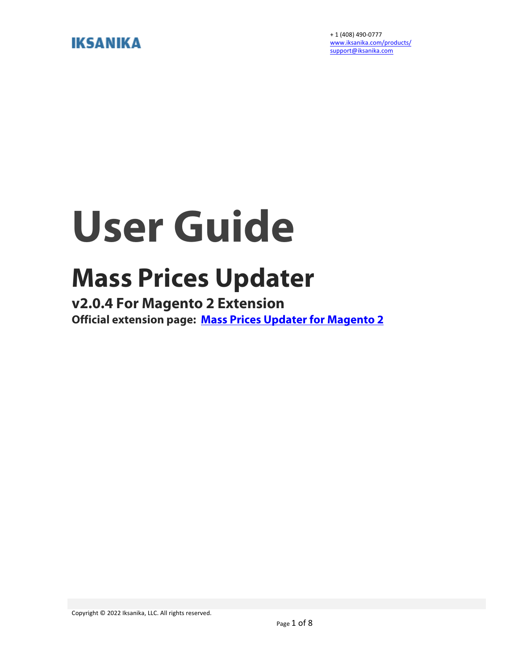# **IKSANIKA**

+ 1 (408) 490-0777 www.iksanika.com/products/ support@iksanika.com

# **User Guide**

# **Mass Prices Updater**

**v2.0.4 For Magento 2 Extension Official extension page: Mass Prices Updater for Magento 2**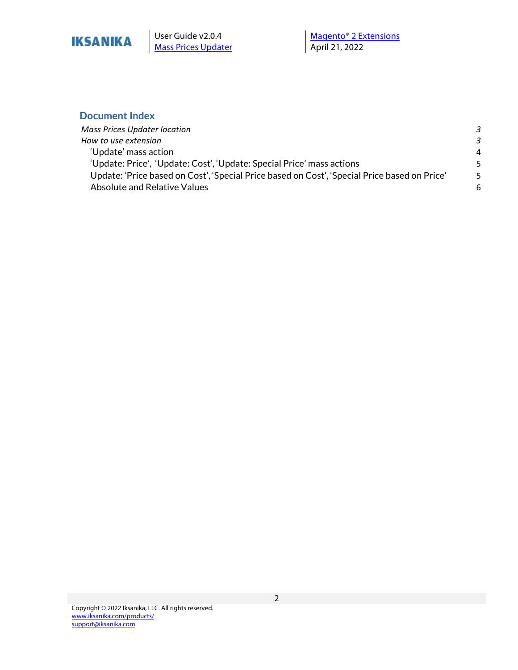

**Mass Prices Updater** 

#### **Document Index**

| Mass Prices Updater location                                                                 | -3 |
|----------------------------------------------------------------------------------------------|----|
| How to use extension                                                                         | -3 |
| 'Update' mass action                                                                         | 4  |
| 'Update: Price', 'Update: Cost', 'Update: Special Price' mass actions                        | -5 |
| Update: 'Price based on Cost', 'Special Price based on Cost', 'Special Price based on Price' | -5 |
| Absolute and Relative Values                                                                 | 6  |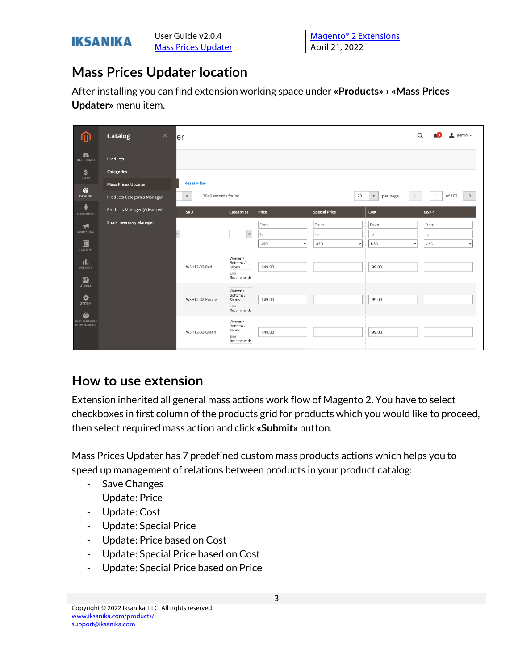

## **Mass Prices Updater location**

After installing you can find extension working space under **«Products» › «Mass Prices Updater»** menu item.

|                                               | $\times$<br>Catalog                                       | ler                                                       |                                                      |                                         |                          |             |                                         | $\perp$ admin $\sim$<br>$\alpha$<br>A 31  |
|-----------------------------------------------|-----------------------------------------------------------|-----------------------------------------------------------|------------------------------------------------------|-----------------------------------------|--------------------------|-------------|-----------------------------------------|-------------------------------------------|
| <b>PA</b><br>DASHBOARD<br>\$                  | Products<br>Categories                                    |                                                           |                                                      |                                         |                          |             |                                         |                                           |
| SALES<br>Ŷ<br>CATALOG                         | Mass Prices Updater<br><b>Products Categories Manager</b> | <b>Reset Filter</b><br>2046 records found<br>$\mathbf{v}$ |                                                      |                                         |                          | 20          | $\blacktriangledown$<br>per page        | of 103<br>$\rightarrow$<br>$\overline{1}$ |
| Å<br><b>CUSTOMERS</b>                         | Products Manager (Advanced)                               | SKU                                                       | <b>Categories</b>                                    | Price                                   | <b>Special Price</b>     |             | Cost                                    | <b>MSRP</b>                               |
| H<br><b>MARKETING</b><br>$\square$<br>CONTENT | <b>Stock Inventory Manager</b>                            |                                                           | $\mathbf{v}$                                         | From<br>To<br><b>USD</b><br>$\check{ }$ | From<br>To<br><b>USD</b> | $\check{~}$ | From<br>To<br><b>USD</b><br>$\check{~}$ | From<br>To<br><b>USD</b><br>$\checkmark$  |
| ıl.<br><b>REPORTS</b><br>伵                    |                                                           | WSH12-32-Red                                              | Women /<br>Bottoms /<br>Shorts<br>Erin<br>Recommends | 149.00                                  |                          |             | 99.00                                   |                                           |
| <b>STORES</b><br>❖<br>SYSTEM                  |                                                           | WSH12-32-Purple                                           | Women /<br>Bottoms /<br>Shorts<br>Erin<br>Recommends | 149.00                                  |                          |             | 99.00                                   |                                           |
| Ŷ<br>FIND PARTNERS<br>& EXTENSIONS            |                                                           | WSH12-32-Green                                            | Women /<br>Bottoms /<br>Shorts<br>Erin<br>Recommends | 149.00                                  |                          |             | 99.00                                   |                                           |

### **How to use extension**

Extension inherited all general mass actions work flow of Magento 2. You have to select checkboxes in first column of the products grid for products which you would like to proceed, then select required mass action and click **«Submit»** button.

Mass Prices Updater has 7 predefined custom mass products actions which helps you to speed up management of relations between products in your product catalog:

- Save Changes
- Update: Price
- Update: Cost
- Update: Special Price
- Update: Price based on Cost
- Update: Special Price based on Cost
- Update: Special Price based on Price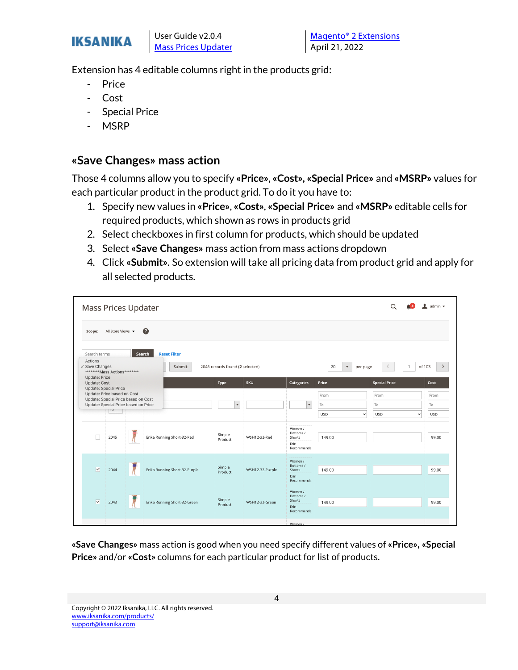

Extension has 4 editable columns right in the products grid:

- Price
- Cost
- Special Price
- **MSRP**

#### **«Save Changes» mass action**

Those 4 columns allow you to specify **«Price»**, **«Cost», «Special Price»** and **«MSRP»** values for each particular product in the product grid. To do it you have to:

- 1. Specify new values in **«Price»**, **«Cost»**, **«Special Price»** and **«MSRP»** editable cells for required products, which shown as rows in products grid
- 2. Select checkboxes in first column for products, which should be updated
- 3. Select **«Save Changes»** mass action from mass actions dropdown
- 4. Click **«Submit»**. So extension will take all pricing data from product grid and apply for all selected products.

| Mass Prices Updater                                                                                                                                                                       |                   |                                         |                                 |                 |                                                      |                                                   | Q                                                               | $\mathbf 1$ admin $\mathbf -$    |
|-------------------------------------------------------------------------------------------------------------------------------------------------------------------------------------------|-------------------|-----------------------------------------|---------------------------------|-----------------|------------------------------------------------------|---------------------------------------------------|-----------------------------------------------------------------|----------------------------------|
| Scope:                                                                                                                                                                                    | All Store Views v | ℯ                                       |                                 |                 |                                                      |                                                   |                                                                 |                                  |
| Search terms<br>Actions<br>$\vee$ Save Changes<br>********Mass Actions********                                                                                                            |                   | <b>Reset Filter</b><br>Search<br>Submit | 2046 records found (2 selected) |                 |                                                      | 20<br>$\mathbf{v}$<br>per page                    |                                                                 | of 103                           |
| <b>Update: Price</b><br><b>Update: Cost</b><br><b>Update: Special Price</b><br>Update: Price based on Cost<br>Update: Special Price based on Cost<br>Update: Special Price based on Price | 10                |                                         | Type<br>$\mathbf{v}$            | <b>SKU</b>      | <b>Categories</b><br>$\mathbf{v}$                    | Price<br>From<br>To<br><b>USD</b><br>$\checkmark$ | <b>Special Price</b><br>From<br>To<br><b>USD</b><br>$\check{ }$ | Cost<br>From<br>To<br><b>USD</b> |
| $\Box$                                                                                                                                                                                    | 2045              | Erika Running Short-32-Red              | Simple<br>Product               | WSH12-32-Red    | Women /<br>Bottoms /<br>Shorts<br>Erin<br>Recommends | 149.00                                            |                                                                 | 99.00                            |
| $\overline{\mathsf{v}}$                                                                                                                                                                   | 2044              | Erika Running Short-32-Purple           | Simple<br>Product               | WSH12-32-Purple | Women /<br>Bottoms /<br>Shorts<br>Erin<br>Recommends | 149.00                                            |                                                                 | 99.00                            |
| $\overline{\mathbf{v}}$                                                                                                                                                                   | 2043              | Erika Running Short-32-Green            | Simple<br>Product               | WSH12-32-Green  | Women /<br>Bottoms /<br>Shorts<br>Erin<br>Recommends | 149.00                                            |                                                                 | 99.00                            |
|                                                                                                                                                                                           |                   |                                         |                                 |                 | <b>Address Control</b>                               |                                                   |                                                                 |                                  |

**«Save Changes»** mass action is good when you need specify different values of **«Price», «Special Price»** and/or **«Cost»** columns for each particular product for list of products.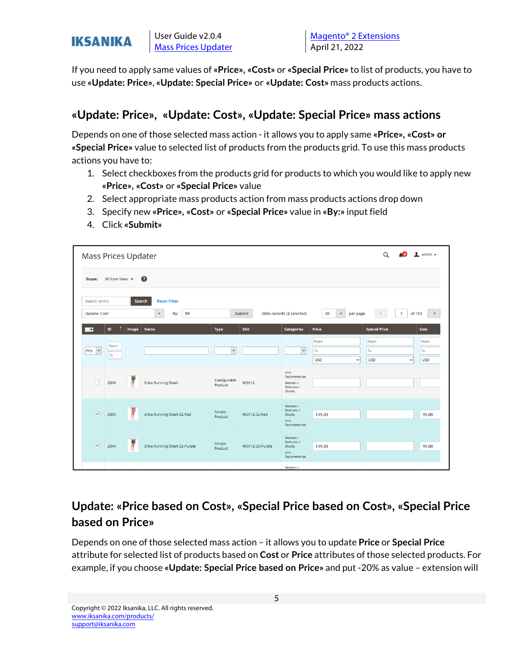

If you need to apply same values of **«Price», «Cost»** or **«Special Price»** to list of products, you have to use **«Update: Price»**, **«Update: Special Price»** or **«Update: Cost»** mass products actions.

#### **«Update: Price», «Update: Cost», «Update: Special Price» mass actions**

Depends on one of those selected mass action - it allows you to apply same **«Price», «Cost» or «Special Price»** value to selected list of products from the products grid. To use this mass products actions you have to:

- 1. Select checkboxes from the products grid for products to which you would like to apply new **«Price», «Cost»** or **«Special Price»** value
- 2. Select appropriate mass products action from mass products actions drop down
- 3. Specify new **«Price», «Cost»** or **«Special Price»** value in **«By:»** input field
- 4. Click **«Submit»**

| Mass Prices Updater                                                                                                                                                                                                                      |                   |       |                               |                         |                 |                      |                           | Q                          | $\mathbf 1$ admin $\mathbf$ |  |
|------------------------------------------------------------------------------------------------------------------------------------------------------------------------------------------------------------------------------------------|-------------------|-------|-------------------------------|-------------------------|-----------------|----------------------|---------------------------|----------------------------|-----------------------------|--|
| Scope:                                                                                                                                                                                                                                   | All Store Views v |       | $\bullet$                     |                         |                 |                      |                           |                            |                             |  |
| <b>Reset Filter</b><br>Search terms<br>Search<br>2046 records (2 selected)<br>of 103<br>Update: Cost<br>By:<br>99<br>Submit<br>20<br>$\boldsymbol{\mathrm{v}}$<br>$\,<\,$<br>$\rightarrow$<br>$\mathbf{v}$<br>$\overline{1}$<br>per page |                   |       |                               |                         |                 |                      |                           |                            |                             |  |
| $-1$                                                                                                                                                                                                                                     | n<br>ID           | Image | Name                          | Type                    | <b>SKU</b>      | <b>Categories</b>    | Price                     | <b>Special Price</b>       | Cost                        |  |
|                                                                                                                                                                                                                                          | From              |       |                               |                         |                 |                      | From                      | From                       | From                        |  |
| $\blacktriangledown$<br>Any                                                                                                                                                                                                              | To                |       |                               | $\blacktriangledown$    |                 | $\bar{\mathbf{v}}$   | To                        | To                         | To                          |  |
|                                                                                                                                                                                                                                          |                   |       |                               |                         |                 |                      | <b>USD</b><br>$\check{~}$ | <b>USD</b><br>$\checkmark$ | <b>USD</b>                  |  |
|                                                                                                                                                                                                                                          |                   |       |                               |                         |                 | Erin<br>Recommends   |                           |                            |                             |  |
| $\Box$                                                                                                                                                                                                                                   | 2046              |       | Erika Running Short           | Configurable<br>Product | WSH12           | Women /<br>Bottoms / |                           |                            |                             |  |
|                                                                                                                                                                                                                                          |                   |       |                               |                         |                 | Shorts               |                           |                            |                             |  |
|                                                                                                                                                                                                                                          |                   |       |                               |                         |                 | Women /<br>Bottoms / |                           |                            |                             |  |
| $\overline{\phantom{a}}$                                                                                                                                                                                                                 | 2045              |       | Erika Running Short-32-Red    | Simple<br>Product       | WSH12-32-Red    | Shorts<br>Erin       | 149.00                    |                            | 99.00                       |  |
|                                                                                                                                                                                                                                          |                   |       |                               |                         |                 | Recommends           |                           |                            |                             |  |
|                                                                                                                                                                                                                                          |                   |       |                               |                         |                 | Women /<br>Bottoms / |                           |                            |                             |  |
| $\overline{\mathbf{v}}$                                                                                                                                                                                                                  | 2044              |       | Erika Running Short-32-Purple | Simple<br>Product       | WSH12-32-Purple | Shorts<br>Erin       | 149.00                    |                            | 99.00                       |  |
|                                                                                                                                                                                                                                          |                   |       |                               |                         |                 | Recommends           |                           |                            |                             |  |
|                                                                                                                                                                                                                                          |                   |       |                               |                         |                 | Women /              |                           |                            |                             |  |

### **Update: «Price based on Cost», «Special Price based on Cost», «Special Price based on Price»**

Depends on one of those selected mass action – it allows you to update **Price** or **Special Price** attribute for selected list of products based on **Cost** or **Price** attributes of those selected products. For example, if you choose **«Update: Special Price based on Price»** and put -20% as value – extension will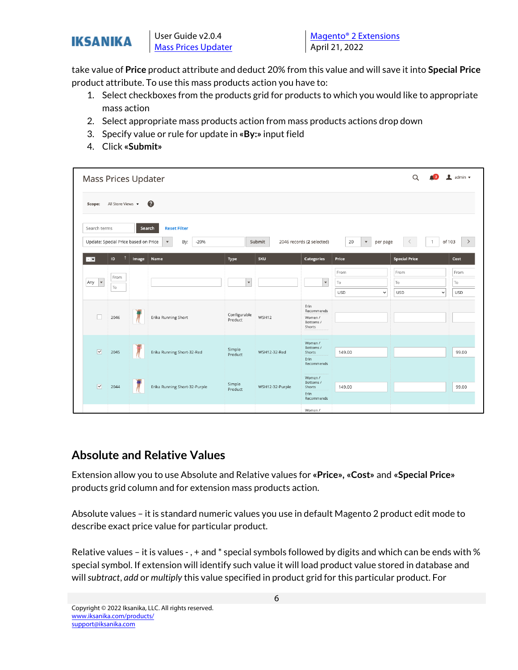

take value of **Price** product attribute and deduct 20% from this value and will save it into **Special Price** product attribute. To use this mass products action you have to:

- 1. Select checkboxes from the products grid for products to which you would like to appropriate mass action
- 2. Select appropriate mass products action from mass products actions drop down
- 3. Specify value or rule for update in **«By:»** input field
- 4. Click **«Submit»**

| $\alpha$<br>$\bullet$ admin $\bullet$<br>Mass Prices Updater                                                                                                                                                                                                             |      |       |                               |                          |                 |                                |                            |                            |            |  |
|--------------------------------------------------------------------------------------------------------------------------------------------------------------------------------------------------------------------------------------------------------------------------|------|-------|-------------------------------|--------------------------|-----------------|--------------------------------|----------------------------|----------------------------|------------|--|
| $\bullet$<br>All Store Views $\blacktriangledown$<br>Scope:                                                                                                                                                                                                              |      |       |                               |                          |                 |                                |                            |                            |            |  |
| <b>Reset Filter</b><br>Search terms<br>Search<br>Update: Special Price based on Price<br>By:<br>2046 records (2 selected)<br>of 103<br>$-20%$<br>Submit<br>20<br>$\mathbf{1}$<br>$\,$<br>$\boldsymbol{\mathrm{v}}$<br>$\boldsymbol{\mathrm{v}}$<br>per page<br>$\langle$ |      |       |                               |                          |                 |                                |                            |                            |            |  |
| - IV                                                                                                                                                                                                                                                                     | ID   | Image | Name                          | Type                     | <b>SKU</b>      | Categories                     | Price                      | <b>Special Price</b>       | Cost       |  |
|                                                                                                                                                                                                                                                                          | From |       |                               |                          |                 |                                | From                       | From                       | From       |  |
| $\overline{\phantom{a}}$<br>Any                                                                                                                                                                                                                                          | To   |       |                               | $\overline{\phantom{a}}$ |                 | $\overline{\mathbf v}$         | To                         | To                         | To         |  |
|                                                                                                                                                                                                                                                                          |      |       |                               |                          |                 |                                | <b>USD</b><br>$\checkmark$ | <b>USD</b><br>$\checkmark$ | <b>USD</b> |  |
|                                                                                                                                                                                                                                                                          |      |       |                               |                          |                 | Erin<br>Recommends             |                            |                            |            |  |
| $\Box$                                                                                                                                                                                                                                                                   | 2046 |       | Erika Running Short           | Configurable<br>Product  | WSH12           | Women /<br>Bottoms /<br>Shorts |                            |                            |            |  |
|                                                                                                                                                                                                                                                                          |      |       |                               |                          |                 | Women /                        |                            |                            |            |  |
| $\overline{\mathbf{v}}$                                                                                                                                                                                                                                                  | 2045 |       | Erika Running Short-32-Red    | Simple<br>Product        | WSH12-32-Red    | Bottoms /<br>Shorts            | 149.00                     |                            | 99.00      |  |
|                                                                                                                                                                                                                                                                          |      |       |                               |                          |                 | Erin<br>Recommends             |                            |                            |            |  |
|                                                                                                                                                                                                                                                                          |      |       |                               |                          |                 | Women /                        |                            |                            |            |  |
| $\overline{\mathbf{v}}$                                                                                                                                                                                                                                                  | 2044 |       | Erika Running Short-32-Purple | Simple<br>Product        | WSH12-32-Purple | Bottoms /<br>Shorts            | 149.00                     |                            | 99.00      |  |
|                                                                                                                                                                                                                                                                          |      |       |                               |                          |                 | Erin<br>Recommends             |                            |                            |            |  |
|                                                                                                                                                                                                                                                                          |      |       |                               |                          |                 | Women /                        |                            |                            |            |  |

#### **Absolute and Relative Values**

Extension allow you to use Absolute and Relative values for **«Price», «Cost»** and **«Special Price»** products grid column and for extension mass products action.

Absolute values – it is standard numeric values you use in default Magento 2 product edit mode to describe exact price value for particular product.

Relative values – it is values - , + and \* special symbols followed by digits and which can be ends with % special symbol. If extension will identify such value it will load product value stored in database and will *subtract*, *add* or *multiply* this value specified in product grid for this particular product. For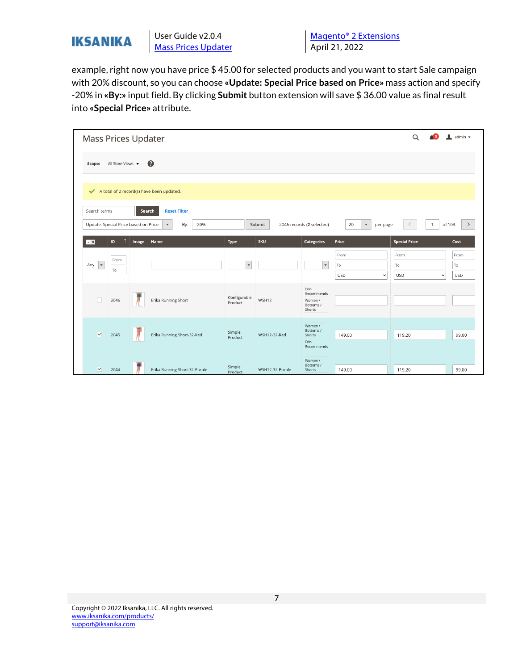

example, right now you have price \$ 45.00 for selected products and you want to start Sale campaign with 20% discount, so you can choose **«Update: Special Price based on Price»** mass action and specify -20% in **«By:»** input field. By clicking **Submit** button extension will save \$ 36.00 value as final result into **«Special Price»** attribute.

| Mass Prices Updater                                  |                   |       |                                                                             |                         |                 |                                                      |                                          | Q                                       | $\bullet$ admin $\bullet$ |
|------------------------------------------------------|-------------------|-------|-----------------------------------------------------------------------------|-------------------------|-----------------|------------------------------------------------------|------------------------------------------|-----------------------------------------|---------------------------|
| Scope:                                               | All Store Views v |       | ◐                                                                           |                         |                 |                                                      |                                          |                                         |                           |
|                                                      |                   |       | A total of 2 record(s) have been updated.                                   |                         |                 |                                                      |                                          |                                         |                           |
| Search terms<br>Update: Special Price based on Price |                   |       | <b>Reset Filter</b><br>Search<br>By:<br>$-20%$<br>$\boldsymbol{\mathrm{v}}$ |                         | Submit          | 2046 records (2 selected)                            | 20<br>$\blacktriangledown$<br>per page   | $\mathbf{1}$                            | of 103<br>$\rightarrow$   |
| $\overline{\phantom{a}}$                             | ID                | Image | Name                                                                        | Type                    | <b>SKU</b>      | Categories                                           | Price                                    | <b>Special Price</b>                    | Cost                      |
| $\blacktriangledown$<br>Any                          | From<br>To        |       |                                                                             | $\overline{\mathbf{v}}$ |                 | $\mathbf{v}$                                         | From<br>To<br><b>USD</b><br>$\checkmark$ | From<br>To<br><b>USD</b><br>$\check{ }$ | From<br>To<br><b>USD</b>  |
| $\Box$                                               | 2046              |       | Erika Running Short                                                         | Configurable<br>Product | WSH12           | Erin<br>Recommends<br>Women /<br>Bottoms /<br>Shorts |                                          |                                         |                           |
| $\overline{\mathbf{v}}$                              | 2045              |       | Erika Running Short-32-Red                                                  | Simple<br>Product       | WSH12-32-Red    | Women /<br>Bottoms /<br>Shorts<br>Erin<br>Recommends | 149.00                                   | 119.20                                  | 99.00                     |
| $\overline{\mathbf{v}}$                              | 2044              |       | Erika Running Short-32-Purple                                               | Simple<br>Product       | WSH12-32-Purple | Women /<br>Bottoms /<br><b>Shorts</b>                | 149.00                                   | 119.20                                  | 99.00                     |